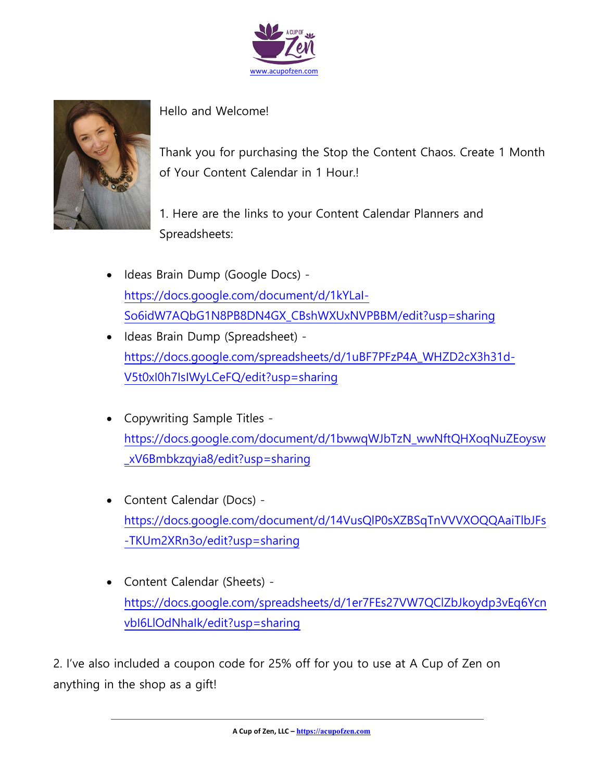



Hello and Welcome!

Thank you for purchasing the Stop the Content Chaos. Create 1 Month of Your Content Calendar in 1 Hour.!

1. Here are the links to your Content Calendar Planners and Spreadsheets:

- Ideas Brain Dump (Google Docs) [https://docs.google.com/document/d/1kYLaI-](https://docs.google.com/document/d/1kYLaI-So6idW7AQbG1N8PB8DN4GX_CBshWXUxNVPBBM/edit?usp=sharing)[So6idW7AQbG1N8PB8DN4GX\\_CBshWXUxNVPBBM/edit?usp=sharing](https://docs.google.com/document/d/1kYLaI-So6idW7AQbG1N8PB8DN4GX_CBshWXUxNVPBBM/edit?usp=sharing)
- Ideas Brain Dump (Spreadsheet) [https://docs.google.com/spreadsheets/d/1uBF7PFzP4A\\_WHZD2cX3h31d-](https://docs.google.com/spreadsheets/d/1uBF7PFzP4A_WHZD2cX3h31d-V5t0xI0h7IsIWyLCeFQ/edit?usp=sharing)[V5t0xI0h7IsIWyLCeFQ/edit?usp=sharing](https://docs.google.com/spreadsheets/d/1uBF7PFzP4A_WHZD2cX3h31d-V5t0xI0h7IsIWyLCeFQ/edit?usp=sharing)
- Copywriting Sample Titles [https://docs.google.com/document/d/1bwwqWJbTzN\\_wwNftQHXoqNuZEoysw](https://docs.google.com/document/d/1bwwqWJbTzN_wwNftQHXoqNuZEoysw_xV6Bmbkzqyia8/edit?usp=sharing) [\\_xV6Bmbkzqyia8/edit?usp=sharing](https://docs.google.com/document/d/1bwwqWJbTzN_wwNftQHXoqNuZEoysw_xV6Bmbkzqyia8/edit?usp=sharing)
- Content Calendar (Docs) [https://docs.google.com/document/d/14VusQlP0sXZBSqTnVVVXOQQAaiTlbJFs](https://docs.google.com/document/d/14VusQlP0sXZBSqTnVVVXOQQAaiTlbJFs-TKUm2XRn3o/edit?usp=sharing) [-TKUm2XRn3o/edit?usp=sharing](https://docs.google.com/document/d/14VusQlP0sXZBSqTnVVVXOQQAaiTlbJFs-TKUm2XRn3o/edit?usp=sharing)
- Content Calendar (Sheets) [https://docs.google.com/spreadsheets/d/1er7FEs27VW7QClZbJkoydp3vEq6Ycn](https://docs.google.com/spreadsheets/d/1er7FEs27VW7QClZbJkoydp3vEq6YcnvbI6LlOdNhaIk/edit?usp=sharing) [vbI6LlOdNhaIk/edit?usp=sharing](https://docs.google.com/spreadsheets/d/1er7FEs27VW7QClZbJkoydp3vEq6YcnvbI6LlOdNhaIk/edit?usp=sharing)

2. I've also included a coupon code for 25% off for you to use at A Cup of Zen on anything in the shop as a gift!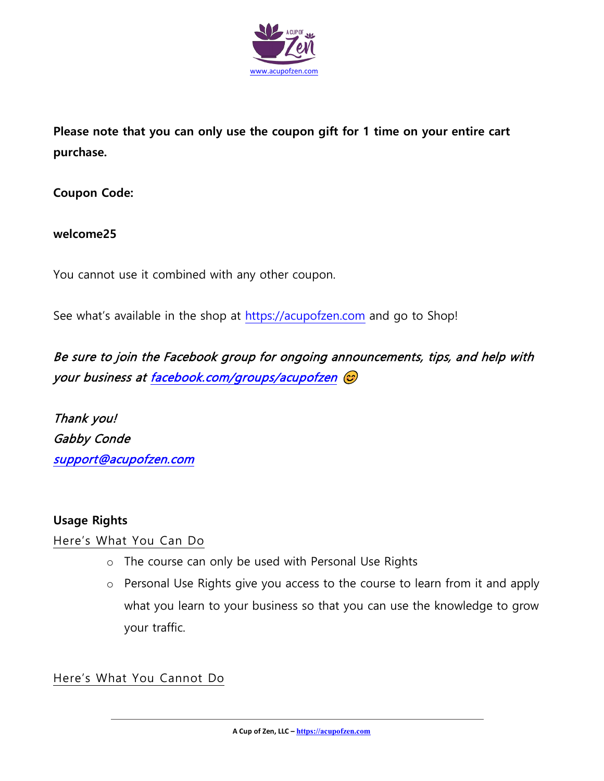

**Please note that you can only use the coupon gift for 1 time on your entire cart purchase.**

**Coupon Code:**

## **welcome25**

You cannot use it combined with any other coupon.

See what's available in the shop at [https://acupofzen.com](https://acupofzen.com/) and go to Shop!

Be sure to join the Facebook group for ongoing announcements, tips, and help with your business a[t facebook.com/groups/acupofzen](https://www.facebook.com/groups/acupofzen)  $\odot$ 

Thank you! Gabby Conde [support@acupofzen.com](mailto:support@acupofzen.com) 

## **Usage Rights**

Here's What You Can Do

- o The course can only be used with Personal Use Rights
- o Personal Use Rights give you access to the course to learn from it and apply what you learn to your business so that you can use the knowledge to grow your traffic.

Here's What You Cannot Do